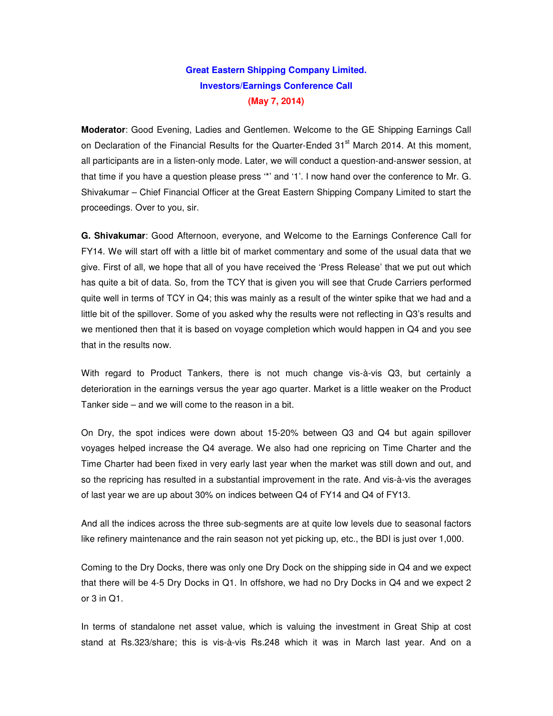## **Great Eastern Shipping Company Limited. Investors/Earnings Conference Call (May 7, 2014)**

**Moderator**: Good Evening, Ladies and Gentlemen. Welcome to the GE Shipping Earnings Call on Declaration of the Financial Results for the Quarter-Ended 31<sup>st</sup> March 2014. At this moment, all participants are in a listen-only mode. Later, we will conduct a question-and-answer session, at that time if you have a question please press '\*' and '1'. I now hand over the conference to Mr. G. Shivakumar – Chief Financial Officer at the Great Eastern Shipping Company Limited to start the proceedings. Over to you, sir.

**G. Shivakumar**: Good Afternoon, everyone, and Welcome to the Earnings Conference Call for FY14. We will start off with a little bit of market commentary and some of the usual data that we give. First of all, we hope that all of you have received the 'Press Release' that we put out which has quite a bit of data. So, from the TCY that is given you will see that Crude Carriers performed quite well in terms of TCY in Q4; this was mainly as a result of the winter spike that we had and a little bit of the spillover. Some of you asked why the results were not reflecting in Q3's results and we mentioned then that it is based on voyage completion which would happen in Q4 and you see that in the results now.

With regard to Product Tankers, there is not much change vis-à-vis Q3, but certainly a deterioration in the earnings versus the year ago quarter. Market is a little weaker on the Product Tanker side – and we will come to the reason in a bit.

On Dry, the spot indices were down about 15-20% between Q3 and Q4 but again spillover voyages helped increase the Q4 average. We also had one repricing on Time Charter and the Time Charter had been fixed in very early last year when the market was still down and out, and so the repricing has resulted in a substantial improvement in the rate. And vis-à-vis the averages of last year we are up about 30% on indices between Q4 of FY14 and Q4 of FY13.

And all the indices across the three sub-segments are at quite low levels due to seasonal factors like refinery maintenance and the rain season not yet picking up, etc., the BDI is just over 1,000.

Coming to the Dry Docks, there was only one Dry Dock on the shipping side in Q4 and we expect that there will be 4-5 Dry Docks in Q1. In offshore, we had no Dry Docks in Q4 and we expect 2 or 3 in Q1.

In terms of standalone net asset value, which is valuing the investment in Great Ship at cost stand at Rs.323/share; this is vis-à-vis Rs.248 which it was in March last year. And on a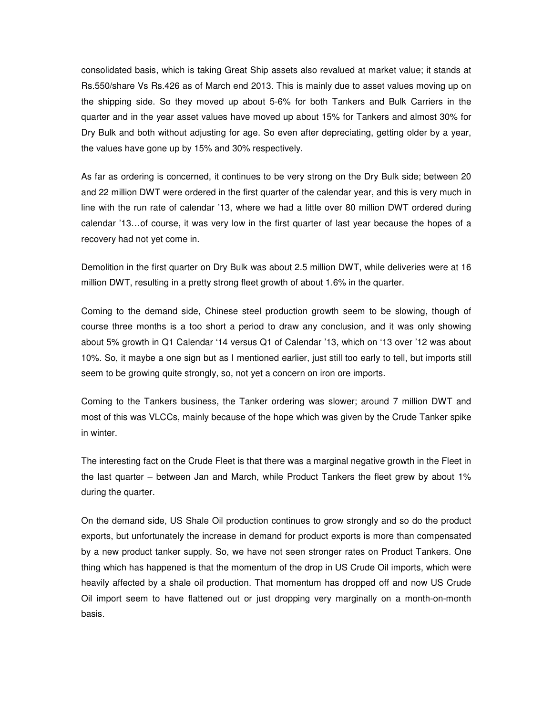consolidated basis, which is taking Great Ship assets also revalued at market value; it stands at Rs.550/share Vs Rs.426 as of March end 2013. This is mainly due to asset values moving up on the shipping side. So they moved up about 5-6% for both Tankers and Bulk Carriers in the quarter and in the year asset values have moved up about 15% for Tankers and almost 30% for Dry Bulk and both without adjusting for age. So even after depreciating, getting older by a year, the values have gone up by 15% and 30% respectively.

As far as ordering is concerned, it continues to be very strong on the Dry Bulk side; between 20 and 22 million DWT were ordered in the first quarter of the calendar year, and this is very much in line with the run rate of calendar '13, where we had a little over 80 million DWT ordered during calendar '13…of course, it was very low in the first quarter of last year because the hopes of a recovery had not yet come in.

Demolition in the first quarter on Dry Bulk was about 2.5 million DWT, while deliveries were at 16 million DWT, resulting in a pretty strong fleet growth of about 1.6% in the quarter.

Coming to the demand side, Chinese steel production growth seem to be slowing, though of course three months is a too short a period to draw any conclusion, and it was only showing about 5% growth in Q1 Calendar '14 versus Q1 of Calendar '13, which on '13 over '12 was about 10%. So, it maybe a one sign but as I mentioned earlier, just still too early to tell, but imports still seem to be growing quite strongly, so, not yet a concern on iron ore imports.

Coming to the Tankers business, the Tanker ordering was slower; around 7 million DWT and most of this was VLCCs, mainly because of the hope which was given by the Crude Tanker spike in winter.

The interesting fact on the Crude Fleet is that there was a marginal negative growth in the Fleet in the last quarter – between Jan and March, while Product Tankers the fleet grew by about 1% during the quarter.

On the demand side, US Shale Oil production continues to grow strongly and so do the product exports, but unfortunately the increase in demand for product exports is more than compensated by a new product tanker supply. So, we have not seen stronger rates on Product Tankers. One thing which has happened is that the momentum of the drop in US Crude Oil imports, which were heavily affected by a shale oil production. That momentum has dropped off and now US Crude Oil import seem to have flattened out or just dropping very marginally on a month-on-month basis.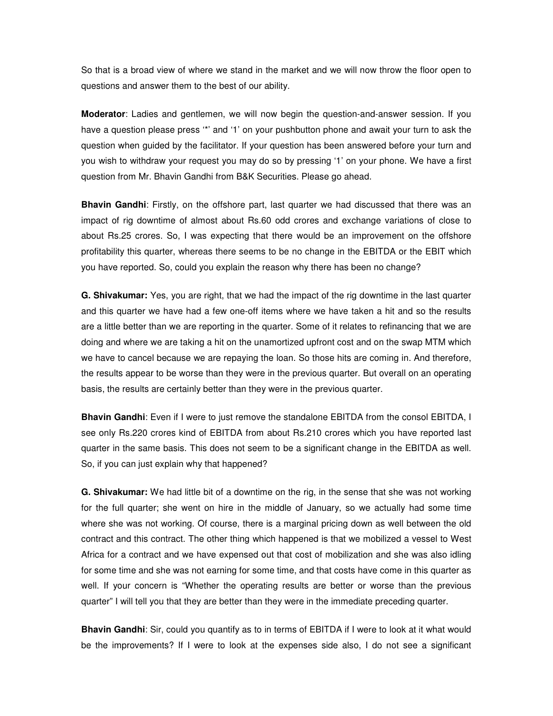So that is a broad view of where we stand in the market and we will now throw the floor open to questions and answer them to the best of our ability.

**Moderator**: Ladies and gentlemen, we will now begin the question-and-answer session. If you have a question please press '\*' and '1' on your pushbutton phone and await your turn to ask the question when guided by the facilitator. If your question has been answered before your turn and you wish to withdraw your request you may do so by pressing '1' on your phone. We have a first question from Mr. Bhavin Gandhi from B&K Securities. Please go ahead.

**Bhavin Gandhi**: Firstly, on the offshore part, last quarter we had discussed that there was an impact of rig downtime of almost about Rs.60 odd crores and exchange variations of close to about Rs.25 crores. So, I was expecting that there would be an improvement on the offshore profitability this quarter, whereas there seems to be no change in the EBITDA or the EBIT which you have reported. So, could you explain the reason why there has been no change?

**G. Shivakumar:** Yes, you are right, that we had the impact of the rig downtime in the last quarter and this quarter we have had a few one-off items where we have taken a hit and so the results are a little better than we are reporting in the quarter. Some of it relates to refinancing that we are doing and where we are taking a hit on the unamortized upfront cost and on the swap MTM which we have to cancel because we are repaying the loan. So those hits are coming in. And therefore, the results appear to be worse than they were in the previous quarter. But overall on an operating basis, the results are certainly better than they were in the previous quarter.

**Bhavin Gandhi**: Even if I were to just remove the standalone EBITDA from the consol EBITDA, I see only Rs.220 crores kind of EBITDA from about Rs.210 crores which you have reported last quarter in the same basis. This does not seem to be a significant change in the EBITDA as well. So, if you can just explain why that happened?

**G. Shivakumar:** We had little bit of a downtime on the rig, in the sense that she was not working for the full quarter; she went on hire in the middle of January, so we actually had some time where she was not working. Of course, there is a marginal pricing down as well between the old contract and this contract. The other thing which happened is that we mobilized a vessel to West Africa for a contract and we have expensed out that cost of mobilization and she was also idling for some time and she was not earning for some time, and that costs have come in this quarter as well. If your concern is "Whether the operating results are better or worse than the previous quarter" I will tell you that they are better than they were in the immediate preceding quarter.

**Bhavin Gandhi**: Sir, could you quantify as to in terms of EBITDA if I were to look at it what would be the improvements? If I were to look at the expenses side also, I do not see a significant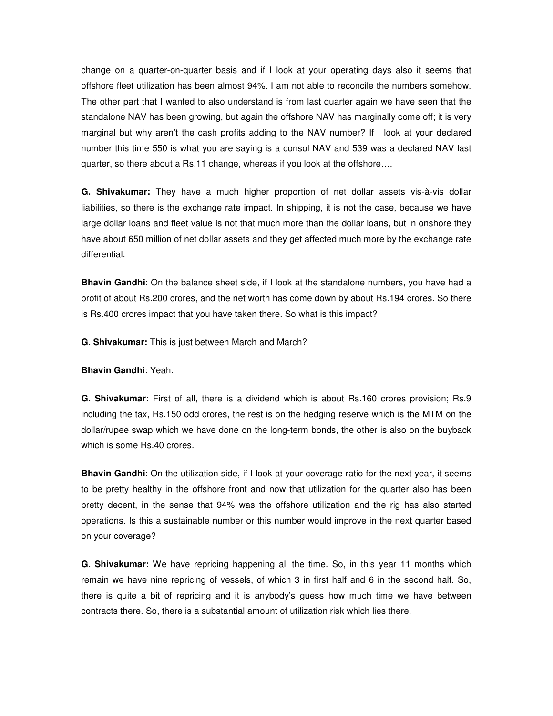change on a quarter-on-quarter basis and if I look at your operating days also it seems that offshore fleet utilization has been almost 94%. I am not able to reconcile the numbers somehow. The other part that I wanted to also understand is from last quarter again we have seen that the standalone NAV has been growing, but again the offshore NAV has marginally come off; it is very marginal but why aren't the cash profits adding to the NAV number? If I look at your declared number this time 550 is what you are saying is a consol NAV and 539 was a declared NAV last quarter, so there about a Rs.11 change, whereas if you look at the offshore….

**G. Shivakumar:** They have a much higher proportion of net dollar assets vis-à-vis dollar liabilities, so there is the exchange rate impact. In shipping, it is not the case, because we have large dollar loans and fleet value is not that much more than the dollar loans, but in onshore they have about 650 million of net dollar assets and they get affected much more by the exchange rate differential.

**Bhavin Gandhi**: On the balance sheet side, if I look at the standalone numbers, you have had a profit of about Rs.200 crores, and the net worth has come down by about Rs.194 crores. So there is Rs.400 crores impact that you have taken there. So what is this impact?

**G. Shivakumar:** This is just between March and March?

**Bhavin Gandhi**: Yeah.

**G. Shivakumar:** First of all, there is a dividend which is about Rs.160 crores provision; Rs.9 including the tax, Rs.150 odd crores, the rest is on the hedging reserve which is the MTM on the dollar/rupee swap which we have done on the long-term bonds, the other is also on the buyback which is some Rs.40 crores.

**Bhavin Gandhi**: On the utilization side, if I look at your coverage ratio for the next year, it seems to be pretty healthy in the offshore front and now that utilization for the quarter also has been pretty decent, in the sense that 94% was the offshore utilization and the rig has also started operations. Is this a sustainable number or this number would improve in the next quarter based on your coverage?

**G. Shivakumar:** We have repricing happening all the time. So, in this year 11 months which remain we have nine repricing of vessels, of which 3 in first half and 6 in the second half. So, there is quite a bit of repricing and it is anybody's guess how much time we have between contracts there. So, there is a substantial amount of utilization risk which lies there.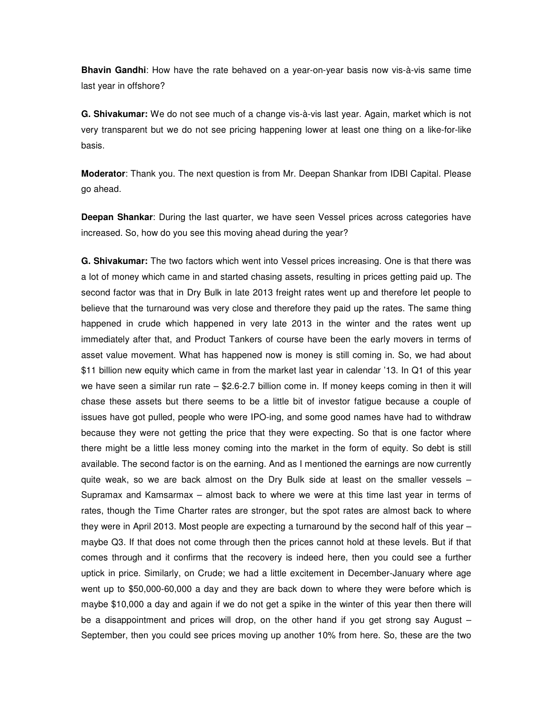**Bhavin Gandhi**: How have the rate behaved on a year-on-year basis now vis-à-vis same time last year in offshore?

**G. Shivakumar:** We do not see much of a change vis-à-vis last year. Again, market which is not very transparent but we do not see pricing happening lower at least one thing on a like-for-like basis.

**Moderator**: Thank you. The next question is from Mr. Deepan Shankar from IDBI Capital. Please go ahead.

**Deepan Shankar**: During the last quarter, we have seen Vessel prices across categories have increased. So, how do you see this moving ahead during the year?

**G. Shivakumar:** The two factors which went into Vessel prices increasing. One is that there was a lot of money which came in and started chasing assets, resulting in prices getting paid up. The second factor was that in Dry Bulk in late 2013 freight rates went up and therefore let people to believe that the turnaround was very close and therefore they paid up the rates. The same thing happened in crude which happened in very late 2013 in the winter and the rates went up immediately after that, and Product Tankers of course have been the early movers in terms of asset value movement. What has happened now is money is still coming in. So, we had about \$11 billion new equity which came in from the market last year in calendar '13. In Q1 of this year we have seen a similar run rate – \$2.6-2.7 billion come in. If money keeps coming in then it will chase these assets but there seems to be a little bit of investor fatigue because a couple of issues have got pulled, people who were IPO-ing, and some good names have had to withdraw because they were not getting the price that they were expecting. So that is one factor where there might be a little less money coming into the market in the form of equity. So debt is still available. The second factor is on the earning. And as I mentioned the earnings are now currently quite weak, so we are back almost on the Dry Bulk side at least on the smaller vessels – Supramax and Kamsarmax – almost back to where we were at this time last year in terms of rates, though the Time Charter rates are stronger, but the spot rates are almost back to where they were in April 2013. Most people are expecting a turnaround by the second half of this year maybe Q3. If that does not come through then the prices cannot hold at these levels. But if that comes through and it confirms that the recovery is indeed here, then you could see a further uptick in price. Similarly, on Crude; we had a little excitement in December-January where age went up to \$50,000-60,000 a day and they are back down to where they were before which is maybe \$10,000 a day and again if we do not get a spike in the winter of this year then there will be a disappointment and prices will drop, on the other hand if you get strong say August – September, then you could see prices moving up another 10% from here. So, these are the two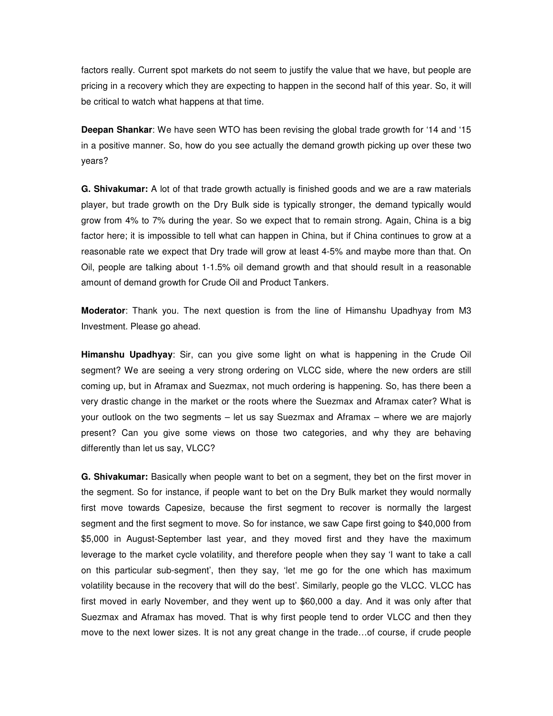factors really. Current spot markets do not seem to justify the value that we have, but people are pricing in a recovery which they are expecting to happen in the second half of this year. So, it will be critical to watch what happens at that time.

**Deepan Shankar**: We have seen WTO has been revising the global trade growth for '14 and '15 in a positive manner. So, how do you see actually the demand growth picking up over these two years?

**G. Shivakumar:** A lot of that trade growth actually is finished goods and we are a raw materials player, but trade growth on the Dry Bulk side is typically stronger, the demand typically would grow from 4% to 7% during the year. So we expect that to remain strong. Again, China is a big factor here; it is impossible to tell what can happen in China, but if China continues to grow at a reasonable rate we expect that Dry trade will grow at least 4-5% and maybe more than that. On Oil, people are talking about 1-1.5% oil demand growth and that should result in a reasonable amount of demand growth for Crude Oil and Product Tankers.

**Moderator**: Thank you. The next question is from the line of Himanshu Upadhyay from M3 Investment. Please go ahead.

**Himanshu Upadhyay**: Sir, can you give some light on what is happening in the Crude Oil segment? We are seeing a very strong ordering on VLCC side, where the new orders are still coming up, but in Aframax and Suezmax, not much ordering is happening. So, has there been a very drastic change in the market or the roots where the Suezmax and Aframax cater? What is your outlook on the two segments – let us say Suezmax and Aframax – where we are majorly present? Can you give some views on those two categories, and why they are behaving differently than let us say, VLCC?

**G. Shivakumar:** Basically when people want to bet on a segment, they bet on the first mover in the segment. So for instance, if people want to bet on the Dry Bulk market they would normally first move towards Capesize, because the first segment to recover is normally the largest segment and the first segment to move. So for instance, we saw Cape first going to \$40,000 from \$5,000 in August-September last year, and they moved first and they have the maximum leverage to the market cycle volatility, and therefore people when they say 'I want to take a call on this particular sub-segment', then they say, 'let me go for the one which has maximum volatility because in the recovery that will do the best'. Similarly, people go the VLCC. VLCC has first moved in early November, and they went up to \$60,000 a day. And it was only after that Suezmax and Aframax has moved. That is why first people tend to order VLCC and then they move to the next lower sizes. It is not any great change in the trade…of course, if crude people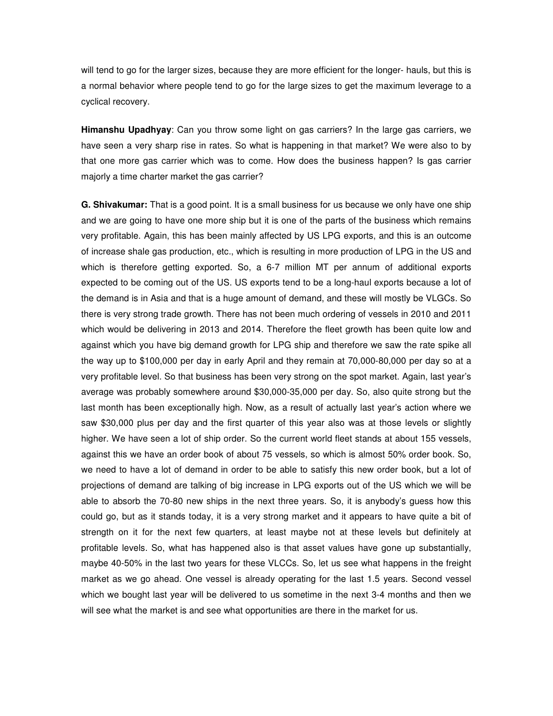will tend to go for the larger sizes, because they are more efficient for the longer- hauls, but this is a normal behavior where people tend to go for the large sizes to get the maximum leverage to a cyclical recovery.

**Himanshu Upadhyay**: Can you throw some light on gas carriers? In the large gas carriers, we have seen a very sharp rise in rates. So what is happening in that market? We were also to by that one more gas carrier which was to come. How does the business happen? Is gas carrier majorly a time charter market the gas carrier?

**G. Shivakumar:** That is a good point. It is a small business for us because we only have one ship and we are going to have one more ship but it is one of the parts of the business which remains very profitable. Again, this has been mainly affected by US LPG exports, and this is an outcome of increase shale gas production, etc., which is resulting in more production of LPG in the US and which is therefore getting exported. So, a 6-7 million MT per annum of additional exports expected to be coming out of the US. US exports tend to be a long-haul exports because a lot of the demand is in Asia and that is a huge amount of demand, and these will mostly be VLGCs. So there is very strong trade growth. There has not been much ordering of vessels in 2010 and 2011 which would be delivering in 2013 and 2014. Therefore the fleet growth has been quite low and against which you have big demand growth for LPG ship and therefore we saw the rate spike all the way up to \$100,000 per day in early April and they remain at 70,000-80,000 per day so at a very profitable level. So that business has been very strong on the spot market. Again, last year's average was probably somewhere around \$30,000-35,000 per day. So, also quite strong but the last month has been exceptionally high. Now, as a result of actually last year's action where we saw \$30,000 plus per day and the first quarter of this year also was at those levels or slightly higher. We have seen a lot of ship order. So the current world fleet stands at about 155 vessels, against this we have an order book of about 75 vessels, so which is almost 50% order book. So, we need to have a lot of demand in order to be able to satisfy this new order book, but a lot of projections of demand are talking of big increase in LPG exports out of the US which we will be able to absorb the 70-80 new ships in the next three years. So, it is anybody's guess how this could go, but as it stands today, it is a very strong market and it appears to have quite a bit of strength on it for the next few quarters, at least maybe not at these levels but definitely at profitable levels. So, what has happened also is that asset values have gone up substantially, maybe 40-50% in the last two years for these VLCCs. So, let us see what happens in the freight market as we go ahead. One vessel is already operating for the last 1.5 years. Second vessel which we bought last year will be delivered to us sometime in the next 3-4 months and then we will see what the market is and see what opportunities are there in the market for us.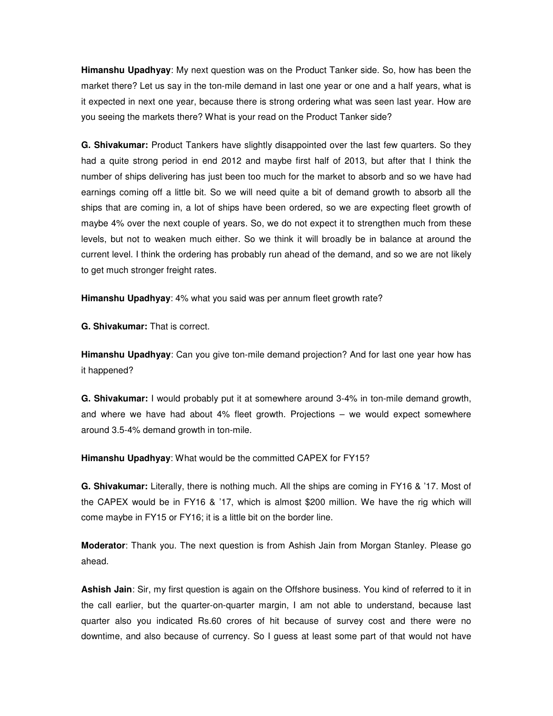**Himanshu Upadhyay**: My next question was on the Product Tanker side. So, how has been the market there? Let us say in the ton-mile demand in last one year or one and a half years, what is it expected in next one year, because there is strong ordering what was seen last year. How are you seeing the markets there? What is your read on the Product Tanker side?

**G. Shivakumar:** Product Tankers have slightly disappointed over the last few quarters. So they had a quite strong period in end 2012 and maybe first half of 2013, but after that I think the number of ships delivering has just been too much for the market to absorb and so we have had earnings coming off a little bit. So we will need quite a bit of demand growth to absorb all the ships that are coming in, a lot of ships have been ordered, so we are expecting fleet growth of maybe 4% over the next couple of years. So, we do not expect it to strengthen much from these levels, but not to weaken much either. So we think it will broadly be in balance at around the current level. I think the ordering has probably run ahead of the demand, and so we are not likely to get much stronger freight rates.

**Himanshu Upadhyay**: 4% what you said was per annum fleet growth rate?

**G. Shivakumar:** That is correct.

**Himanshu Upadhyay**: Can you give ton-mile demand projection? And for last one year how has it happened?

**G. Shivakumar:** I would probably put it at somewhere around 3-4% in ton-mile demand growth, and where we have had about 4% fleet growth. Projections – we would expect somewhere around 3.5-4% demand growth in ton-mile.

**Himanshu Upadhyay**: What would be the committed CAPEX for FY15?

**G. Shivakumar:** Literally, there is nothing much. All the ships are coming in FY16 & '17. Most of the CAPEX would be in FY16 & '17, which is almost \$200 million. We have the rig which will come maybe in FY15 or FY16; it is a little bit on the border line.

**Moderator**: Thank you. The next question is from Ashish Jain from Morgan Stanley. Please go ahead.

**Ashish Jain**: Sir, my first question is again on the Offshore business. You kind of referred to it in the call earlier, but the quarter-on-quarter margin, I am not able to understand, because last quarter also you indicated Rs.60 crores of hit because of survey cost and there were no downtime, and also because of currency. So I guess at least some part of that would not have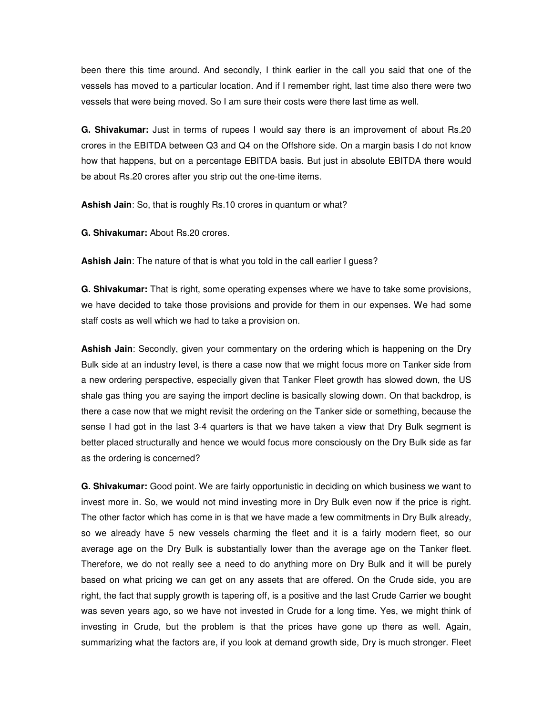been there this time around. And secondly, I think earlier in the call you said that one of the vessels has moved to a particular location. And if I remember right, last time also there were two vessels that were being moved. So I am sure their costs were there last time as well.

**G. Shivakumar:** Just in terms of rupees I would say there is an improvement of about Rs.20 crores in the EBITDA between Q3 and Q4 on the Offshore side. On a margin basis I do not know how that happens, but on a percentage EBITDA basis. But just in absolute EBITDA there would be about Rs.20 crores after you strip out the one-time items.

**Ashish Jain**: So, that is roughly Rs.10 crores in quantum or what?

**G. Shivakumar:** About Rs.20 crores.

**Ashish Jain**: The nature of that is what you told in the call earlier I guess?

**G. Shivakumar:** That is right, some operating expenses where we have to take some provisions, we have decided to take those provisions and provide for them in our expenses. We had some staff costs as well which we had to take a provision on.

**Ashish Jain**: Secondly, given your commentary on the ordering which is happening on the Dry Bulk side at an industry level, is there a case now that we might focus more on Tanker side from a new ordering perspective, especially given that Tanker Fleet growth has slowed down, the US shale gas thing you are saying the import decline is basically slowing down. On that backdrop, is there a case now that we might revisit the ordering on the Tanker side or something, because the sense I had got in the last 3-4 quarters is that we have taken a view that Dry Bulk segment is better placed structurally and hence we would focus more consciously on the Dry Bulk side as far as the ordering is concerned?

**G. Shivakumar:** Good point. We are fairly opportunistic in deciding on which business we want to invest more in. So, we would not mind investing more in Dry Bulk even now if the price is right. The other factor which has come in is that we have made a few commitments in Dry Bulk already, so we already have 5 new vessels charming the fleet and it is a fairly modern fleet, so our average age on the Dry Bulk is substantially lower than the average age on the Tanker fleet. Therefore, we do not really see a need to do anything more on Dry Bulk and it will be purely based on what pricing we can get on any assets that are offered. On the Crude side, you are right, the fact that supply growth is tapering off, is a positive and the last Crude Carrier we bought was seven years ago, so we have not invested in Crude for a long time. Yes, we might think of investing in Crude, but the problem is that the prices have gone up there as well. Again, summarizing what the factors are, if you look at demand growth side, Dry is much stronger. Fleet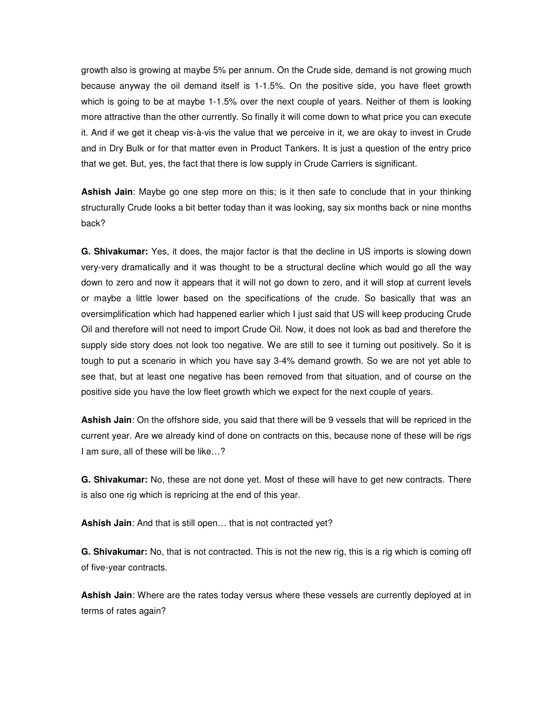growth also is growing at maybe 5% per annum. On the Crude side, demand is not growing much because anyway the oil demand itself is 1-1.5%. On the positive side, you have fleet growth which is going to be at maybe 1-1.5% over the next couple of years. Neither of them is looking more attractive than the other currently. So finally it will come down to what price you can execute it. And if we get it cheap vis-à-vis the value that we perceive in it, we are okay to invest in Crude and in Dry Bulk or for that matter even in Product Tankers. It is just a question of the entry price that we get. But, yes, the fact that there is low supply in Crude Carriers is significant.

**Ashish Jain**: Maybe go one step more on this; is it then safe to conclude that in your thinking structurally Crude looks a bit better today than it was looking, say six months back or nine months back?

**G. Shivakumar:** Yes, it does, the major factor is that the decline in US imports is slowing down very-very dramatically and it was thought to be a structural decline which would go all the way down to zero and now it appears that it will not go down to zero, and it will stop at current levels or maybe a little lower based on the specifications of the crude. So basically that was an oversimplification which had happened earlier which I just said that US will keep producing Crude Oil and therefore will not need to import Crude Oil. Now, it does not look as bad and therefore the supply side story does not look too negative. We are still to see it turning out positively. So it is tough to put a scenario in which you have say 3-4% demand growth. So we are not yet able to see that, but at least one negative has been removed from that situation, and of course on the positive side you have the low fleet growth which we expect for the next couple of years.

**Ashish Jain**: On the offshore side, you said that there will be 9 vessels that will be repriced in the current year. Are we already kind of done on contracts on this, because none of these will be rigs I am sure, all of these will be like…?

**G. Shivakumar:** No, these are not done yet. Most of these will have to get new contracts. There is also one rig which is repricing at the end of this year.

**Ashish Jain**: And that is still open… that is not contracted yet?

**G. Shivakumar:** No, that is not contracted. This is not the new rig, this is a rig which is coming off of five-year contracts.

**Ashish Jain**: Where are the rates today versus where these vessels are currently deployed at in terms of rates again?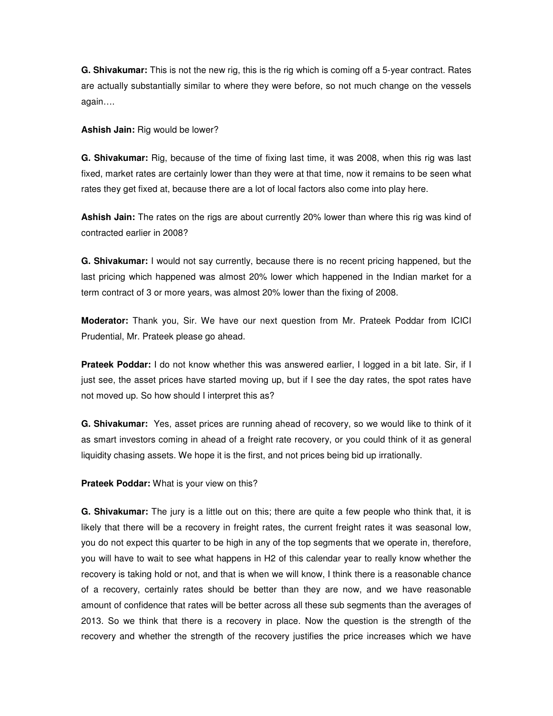**G. Shivakumar:** This is not the new rig, this is the rig which is coming off a 5-year contract. Rates are actually substantially similar to where they were before, so not much change on the vessels again….

**Ashish Jain:** Rig would be lower?

**G. Shivakumar:** Rig, because of the time of fixing last time, it was 2008, when this rig was last fixed, market rates are certainly lower than they were at that time, now it remains to be seen what rates they get fixed at, because there are a lot of local factors also come into play here.

**Ashish Jain:** The rates on the rigs are about currently 20% lower than where this rig was kind of contracted earlier in 2008?

**G. Shivakumar:** I would not say currently, because there is no recent pricing happened, but the last pricing which happened was almost 20% lower which happened in the Indian market for a term contract of 3 or more years, was almost 20% lower than the fixing of 2008.

**Moderator:** Thank you, Sir. We have our next question from Mr. Prateek Poddar from ICICI Prudential, Mr. Prateek please go ahead.

**Prateek Poddar:** I do not know whether this was answered earlier, I logged in a bit late. Sir, if I just see, the asset prices have started moving up, but if I see the day rates, the spot rates have not moved up. So how should I interpret this as?

**G. Shivakumar:** Yes, asset prices are running ahead of recovery, so we would like to think of it as smart investors coming in ahead of a freight rate recovery, or you could think of it as general liquidity chasing assets. We hope it is the first, and not prices being bid up irrationally.

**Prateek Poddar:** What is your view on this?

**G. Shivakumar:** The jury is a little out on this; there are quite a few people who think that, it is likely that there will be a recovery in freight rates, the current freight rates it was seasonal low, you do not expect this quarter to be high in any of the top segments that we operate in, therefore, you will have to wait to see what happens in H2 of this calendar year to really know whether the recovery is taking hold or not, and that is when we will know, I think there is a reasonable chance of a recovery, certainly rates should be better than they are now, and we have reasonable amount of confidence that rates will be better across all these sub segments than the averages of 2013. So we think that there is a recovery in place. Now the question is the strength of the recovery and whether the strength of the recovery justifies the price increases which we have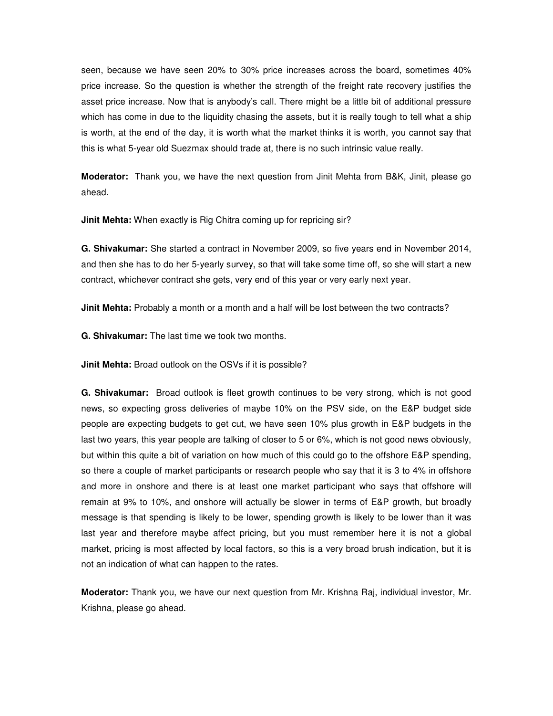seen, because we have seen 20% to 30% price increases across the board, sometimes 40% price increase. So the question is whether the strength of the freight rate recovery justifies the asset price increase. Now that is anybody's call. There might be a little bit of additional pressure which has come in due to the liquidity chasing the assets, but it is really tough to tell what a ship is worth, at the end of the day, it is worth what the market thinks it is worth, you cannot say that this is what 5-year old Suezmax should trade at, there is no such intrinsic value really.

**Moderator:** Thank you, we have the next question from Jinit Mehta from B&K, Jinit, please go ahead.

**Jinit Mehta:** When exactly is Rig Chitra coming up for repricing sir?

**G. Shivakumar:** She started a contract in November 2009, so five years end in November 2014, and then she has to do her 5-yearly survey, so that will take some time off, so she will start a new contract, whichever contract she gets, very end of this year or very early next year.

**Jinit Mehta:** Probably a month or a month and a half will be lost between the two contracts?

**G. Shivakumar:** The last time we took two months.

**Jinit Mehta:** Broad outlook on the OSVs if it is possible?

**G. Shivakumar:** Broad outlook is fleet growth continues to be very strong, which is not good news, so expecting gross deliveries of maybe 10% on the PSV side, on the E&P budget side people are expecting budgets to get cut, we have seen 10% plus growth in E&P budgets in the last two years, this year people are talking of closer to 5 or 6%, which is not good news obviously, but within this quite a bit of variation on how much of this could go to the offshore E&P spending, so there a couple of market participants or research people who say that it is 3 to 4% in offshore and more in onshore and there is at least one market participant who says that offshore will remain at 9% to 10%, and onshore will actually be slower in terms of E&P growth, but broadly message is that spending is likely to be lower, spending growth is likely to be lower than it was last year and therefore maybe affect pricing, but you must remember here it is not a global market, pricing is most affected by local factors, so this is a very broad brush indication, but it is not an indication of what can happen to the rates.

**Moderator:** Thank you, we have our next question from Mr. Krishna Raj, individual investor, Mr. Krishna, please go ahead.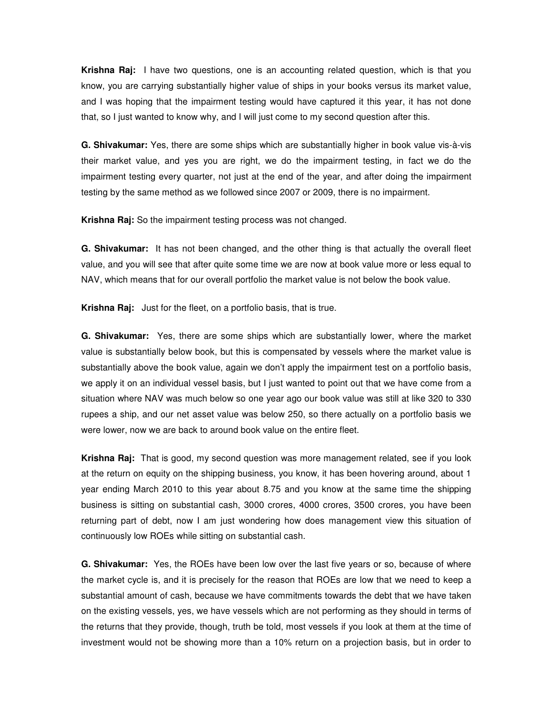**Krishna Raj:** I have two questions, one is an accounting related question, which is that you know, you are carrying substantially higher value of ships in your books versus its market value, and I was hoping that the impairment testing would have captured it this year, it has not done that, so I just wanted to know why, and I will just come to my second question after this.

**G. Shivakumar:** Yes, there are some ships which are substantially higher in book value vis-à-vis their market value, and yes you are right, we do the impairment testing, in fact we do the impairment testing every quarter, not just at the end of the year, and after doing the impairment testing by the same method as we followed since 2007 or 2009, there is no impairment.

**Krishna Raj:** So the impairment testing process was not changed.

**G. Shivakumar:** It has not been changed, and the other thing is that actually the overall fleet value, and you will see that after quite some time we are now at book value more or less equal to NAV, which means that for our overall portfolio the market value is not below the book value.

**Krishna Raj:** Just for the fleet, on a portfolio basis, that is true.

**G. Shivakumar:** Yes, there are some ships which are substantially lower, where the market value is substantially below book, but this is compensated by vessels where the market value is substantially above the book value, again we don't apply the impairment test on a portfolio basis, we apply it on an individual vessel basis, but I just wanted to point out that we have come from a situation where NAV was much below so one year ago our book value was still at like 320 to 330 rupees a ship, and our net asset value was below 250, so there actually on a portfolio basis we were lower, now we are back to around book value on the entire fleet.

**Krishna Raj:** That is good, my second question was more management related, see if you look at the return on equity on the shipping business, you know, it has been hovering around, about 1 year ending March 2010 to this year about 8.75 and you know at the same time the shipping business is sitting on substantial cash, 3000 crores, 4000 crores, 3500 crores, you have been returning part of debt, now I am just wondering how does management view this situation of continuously low ROEs while sitting on substantial cash.

**G. Shivakumar:** Yes, the ROEs have been low over the last five years or so, because of where the market cycle is, and it is precisely for the reason that ROEs are low that we need to keep a substantial amount of cash, because we have commitments towards the debt that we have taken on the existing vessels, yes, we have vessels which are not performing as they should in terms of the returns that they provide, though, truth be told, most vessels if you look at them at the time of investment would not be showing more than a 10% return on a projection basis, but in order to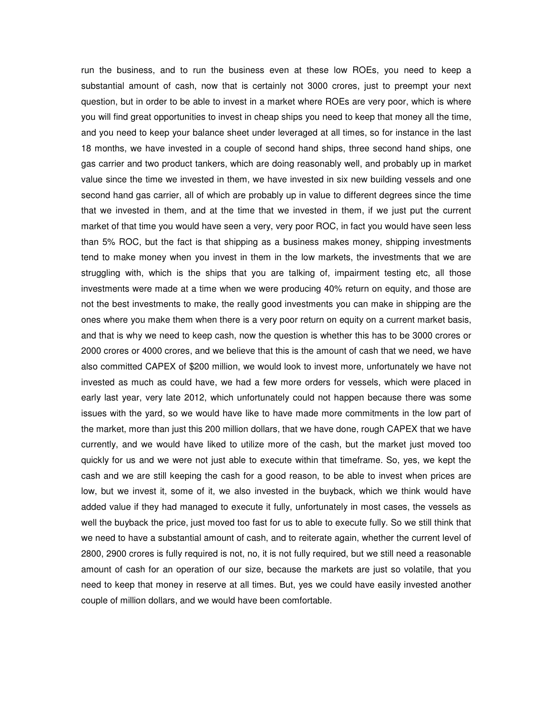run the business, and to run the business even at these low ROEs, you need to keep a substantial amount of cash, now that is certainly not 3000 crores, just to preempt your next question, but in order to be able to invest in a market where ROEs are very poor, which is where you will find great opportunities to invest in cheap ships you need to keep that money all the time, and you need to keep your balance sheet under leveraged at all times, so for instance in the last 18 months, we have invested in a couple of second hand ships, three second hand ships, one gas carrier and two product tankers, which are doing reasonably well, and probably up in market value since the time we invested in them, we have invested in six new building vessels and one second hand gas carrier, all of which are probably up in value to different degrees since the time that we invested in them, and at the time that we invested in them, if we just put the current market of that time you would have seen a very, very poor ROC, in fact you would have seen less than 5% ROC, but the fact is that shipping as a business makes money, shipping investments tend to make money when you invest in them in the low markets, the investments that we are struggling with, which is the ships that you are talking of, impairment testing etc, all those investments were made at a time when we were producing 40% return on equity, and those are not the best investments to make, the really good investments you can make in shipping are the ones where you make them when there is a very poor return on equity on a current market basis, and that is why we need to keep cash, now the question is whether this has to be 3000 crores or 2000 crores or 4000 crores, and we believe that this is the amount of cash that we need, we have also committed CAPEX of \$200 million, we would look to invest more, unfortunately we have not invested as much as could have, we had a few more orders for vessels, which were placed in early last year, very late 2012, which unfortunately could not happen because there was some issues with the yard, so we would have like to have made more commitments in the low part of the market, more than just this 200 million dollars, that we have done, rough CAPEX that we have currently, and we would have liked to utilize more of the cash, but the market just moved too quickly for us and we were not just able to execute within that timeframe. So, yes, we kept the cash and we are still keeping the cash for a good reason, to be able to invest when prices are low, but we invest it, some of it, we also invested in the buyback, which we think would have added value if they had managed to execute it fully, unfortunately in most cases, the vessels as well the buyback the price, just moved too fast for us to able to execute fully. So we still think that we need to have a substantial amount of cash, and to reiterate again, whether the current level of 2800, 2900 crores is fully required is not, no, it is not fully required, but we still need a reasonable amount of cash for an operation of our size, because the markets are just so volatile, that you need to keep that money in reserve at all times. But, yes we could have easily invested another couple of million dollars, and we would have been comfortable.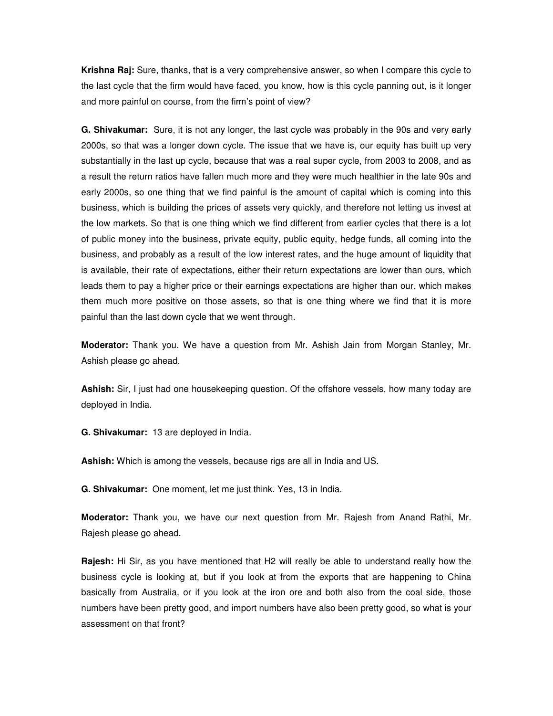**Krishna Raj:** Sure, thanks, that is a very comprehensive answer, so when I compare this cycle to the last cycle that the firm would have faced, you know, how is this cycle panning out, is it longer and more painful on course, from the firm's point of view?

**G. Shivakumar:** Sure, it is not any longer, the last cycle was probably in the 90s and very early 2000s, so that was a longer down cycle. The issue that we have is, our equity has built up very substantially in the last up cycle, because that was a real super cycle, from 2003 to 2008, and as a result the return ratios have fallen much more and they were much healthier in the late 90s and early 2000s, so one thing that we find painful is the amount of capital which is coming into this business, which is building the prices of assets very quickly, and therefore not letting us invest at the low markets. So that is one thing which we find different from earlier cycles that there is a lot of public money into the business, private equity, public equity, hedge funds, all coming into the business, and probably as a result of the low interest rates, and the huge amount of liquidity that is available, their rate of expectations, either their return expectations are lower than ours, which leads them to pay a higher price or their earnings expectations are higher than our, which makes them much more positive on those assets, so that is one thing where we find that it is more painful than the last down cycle that we went through.

**Moderator:** Thank you. We have a question from Mr. Ashish Jain from Morgan Stanley, Mr. Ashish please go ahead.

**Ashish:** Sir, I just had one housekeeping question. Of the offshore vessels, how many today are deployed in India.

**G. Shivakumar:** 13 are deployed in India.

**Ashish:** Which is among the vessels, because rigs are all in India and US.

**G. Shivakumar:** One moment, let me just think. Yes, 13 in India.

**Moderator:** Thank you, we have our next question from Mr. Rajesh from Anand Rathi, Mr. Rajesh please go ahead.

**Rajesh:** Hi Sir, as you have mentioned that H2 will really be able to understand really how the business cycle is looking at, but if you look at from the exports that are happening to China basically from Australia, or if you look at the iron ore and both also from the coal side, those numbers have been pretty good, and import numbers have also been pretty good, so what is your assessment on that front?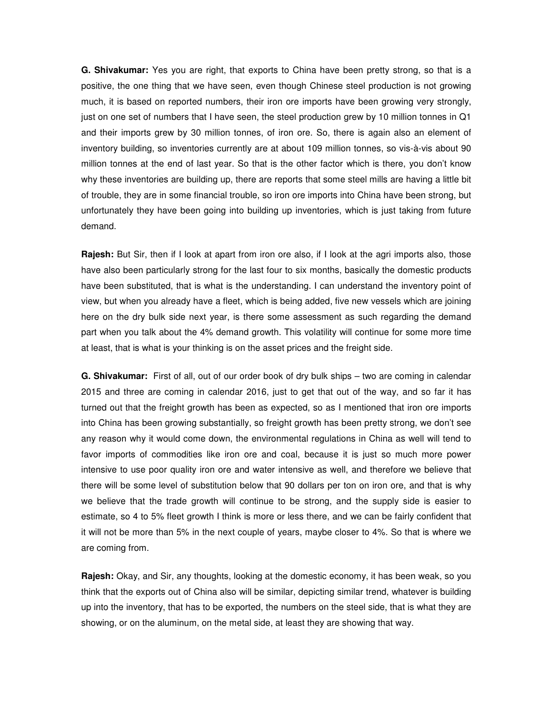**G. Shivakumar:** Yes you are right, that exports to China have been pretty strong, so that is a positive, the one thing that we have seen, even though Chinese steel production is not growing much, it is based on reported numbers, their iron ore imports have been growing very strongly, just on one set of numbers that I have seen, the steel production grew by 10 million tonnes in Q1 and their imports grew by 30 million tonnes, of iron ore. So, there is again also an element of inventory building, so inventories currently are at about 109 million tonnes, so vis-à-vis about 90 million tonnes at the end of last year. So that is the other factor which is there, you don't know why these inventories are building up, there are reports that some steel mills are having a little bit of trouble, they are in some financial trouble, so iron ore imports into China have been strong, but unfortunately they have been going into building up inventories, which is just taking from future demand.

**Rajesh:** But Sir, then if I look at apart from iron ore also, if I look at the agri imports also, those have also been particularly strong for the last four to six months, basically the domestic products have been substituted, that is what is the understanding. I can understand the inventory point of view, but when you already have a fleet, which is being added, five new vessels which are joining here on the dry bulk side next year, is there some assessment as such regarding the demand part when you talk about the 4% demand growth. This volatility will continue for some more time at least, that is what is your thinking is on the asset prices and the freight side.

**G. Shivakumar:** First of all, out of our order book of dry bulk ships – two are coming in calendar 2015 and three are coming in calendar 2016, just to get that out of the way, and so far it has turned out that the freight growth has been as expected, so as I mentioned that iron ore imports into China has been growing substantially, so freight growth has been pretty strong, we don't see any reason why it would come down, the environmental regulations in China as well will tend to favor imports of commodities like iron ore and coal, because it is just so much more power intensive to use poor quality iron ore and water intensive as well, and therefore we believe that there will be some level of substitution below that 90 dollars per ton on iron ore, and that is why we believe that the trade growth will continue to be strong, and the supply side is easier to estimate, so 4 to 5% fleet growth I think is more or less there, and we can be fairly confident that it will not be more than 5% in the next couple of years, maybe closer to 4%. So that is where we are coming from.

**Rajesh:** Okay, and Sir, any thoughts, looking at the domestic economy, it has been weak, so you think that the exports out of China also will be similar, depicting similar trend, whatever is building up into the inventory, that has to be exported, the numbers on the steel side, that is what they are showing, or on the aluminum, on the metal side, at least they are showing that way.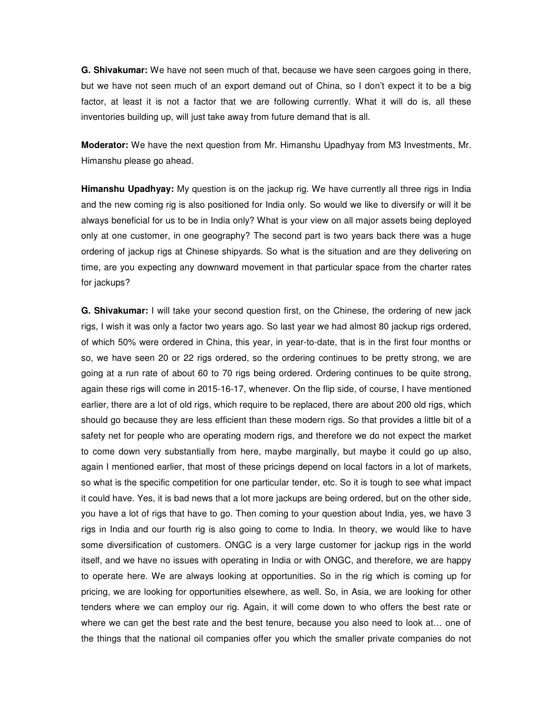**G. Shivakumar:** We have not seen much of that, because we have seen cargoes going in there, but we have not seen much of an export demand out of China, so I don't expect it to be a big factor, at least it is not a factor that we are following currently. What it will do is, all these inventories building up, will just take away from future demand that is all.

**Moderator:** We have the next question from Mr. Himanshu Upadhyay from M3 Investments, Mr. Himanshu please go ahead.

**Himanshu Upadhyay:** My question is on the jackup rig. We have currently all three rigs in India and the new coming rig is also positioned for India only. So would we like to diversify or will it be always beneficial for us to be in India only? What is your view on all major assets being deployed only at one customer, in one geography? The second part is two years back there was a huge ordering of jackup rigs at Chinese shipyards. So what is the situation and are they delivering on time, are you expecting any downward movement in that particular space from the charter rates for jackups?

**G. Shivakumar:** I will take your second question first, on the Chinese, the ordering of new jack rigs, I wish it was only a factor two years ago. So last year we had almost 80 jackup rigs ordered, of which 50% were ordered in China, this year, in year-to-date, that is in the first four months or so, we have seen 20 or 22 rigs ordered, so the ordering continues to be pretty strong, we are going at a run rate of about 60 to 70 rigs being ordered. Ordering continues to be quite strong, again these rigs will come in 2015-16-17, whenever. On the flip side, of course, I have mentioned earlier, there are a lot of old rigs, which require to be replaced, there are about 200 old rigs, which should go because they are less efficient than these modern rigs. So that provides a little bit of a safety net for people who are operating modern rigs, and therefore we do not expect the market to come down very substantially from here, maybe marginally, but maybe it could go up also, again I mentioned earlier, that most of these pricings depend on local factors in a lot of markets, so what is the specific competition for one particular tender, etc. So it is tough to see what impact it could have. Yes, it is bad news that a lot more jackups are being ordered, but on the other side, you have a lot of rigs that have to go. Then coming to your question about India, yes, we have 3 rigs in India and our fourth rig is also going to come to India. In theory, we would like to have some diversification of customers. ONGC is a very large customer for jackup rigs in the world itself, and we have no issues with operating in India or with ONGC, and therefore, we are happy to operate here. We are always looking at opportunities. So in the rig which is coming up for pricing, we are looking for opportunities elsewhere, as well. So, in Asia, we are looking for other tenders where we can employ our rig. Again, it will come down to who offers the best rate or where we can get the best rate and the best tenure, because you also need to look at… one of the things that the national oil companies offer you which the smaller private companies do not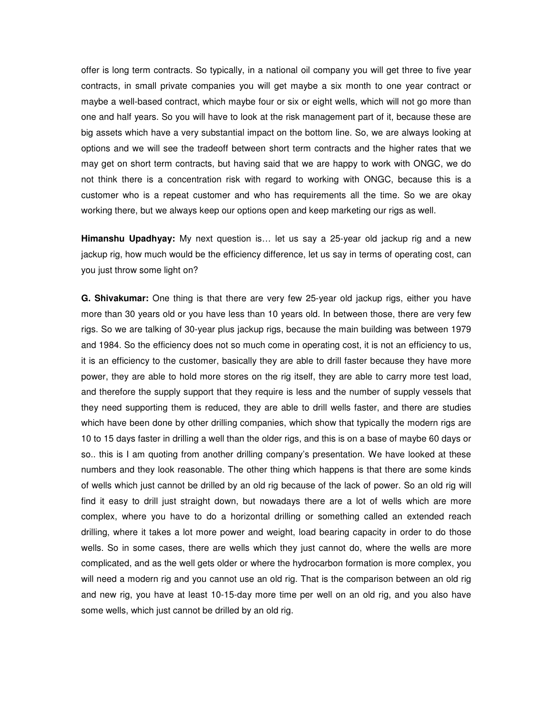offer is long term contracts. So typically, in a national oil company you will get three to five year contracts, in small private companies you will get maybe a six month to one year contract or maybe a well-based contract, which maybe four or six or eight wells, which will not go more than one and half years. So you will have to look at the risk management part of it, because these are big assets which have a very substantial impact on the bottom line. So, we are always looking at options and we will see the tradeoff between short term contracts and the higher rates that we may get on short term contracts, but having said that we are happy to work with ONGC, we do not think there is a concentration risk with regard to working with ONGC, because this is a customer who is a repeat customer and who has requirements all the time. So we are okay working there, but we always keep our options open and keep marketing our rigs as well.

**Himanshu Upadhyay:** My next question is… let us say a 25-year old jackup rig and a new jackup rig, how much would be the efficiency difference, let us say in terms of operating cost, can you just throw some light on?

**G. Shivakumar:** One thing is that there are very few 25-year old jackup rigs, either you have more than 30 years old or you have less than 10 years old. In between those, there are very few rigs. So we are talking of 30-year plus jackup rigs, because the main building was between 1979 and 1984. So the efficiency does not so much come in operating cost, it is not an efficiency to us, it is an efficiency to the customer, basically they are able to drill faster because they have more power, they are able to hold more stores on the rig itself, they are able to carry more test load, and therefore the supply support that they require is less and the number of supply vessels that they need supporting them is reduced, they are able to drill wells faster, and there are studies which have been done by other drilling companies, which show that typically the modern rigs are 10 to 15 days faster in drilling a well than the older rigs, and this is on a base of maybe 60 days or so.. this is I am quoting from another drilling company's presentation. We have looked at these numbers and they look reasonable. The other thing which happens is that there are some kinds of wells which just cannot be drilled by an old rig because of the lack of power. So an old rig will find it easy to drill just straight down, but nowadays there are a lot of wells which are more complex, where you have to do a horizontal drilling or something called an extended reach drilling, where it takes a lot more power and weight, load bearing capacity in order to do those wells. So in some cases, there are wells which they just cannot do, where the wells are more complicated, and as the well gets older or where the hydrocarbon formation is more complex, you will need a modern rig and you cannot use an old rig. That is the comparison between an old rig and new rig, you have at least 10-15-day more time per well on an old rig, and you also have some wells, which just cannot be drilled by an old rig.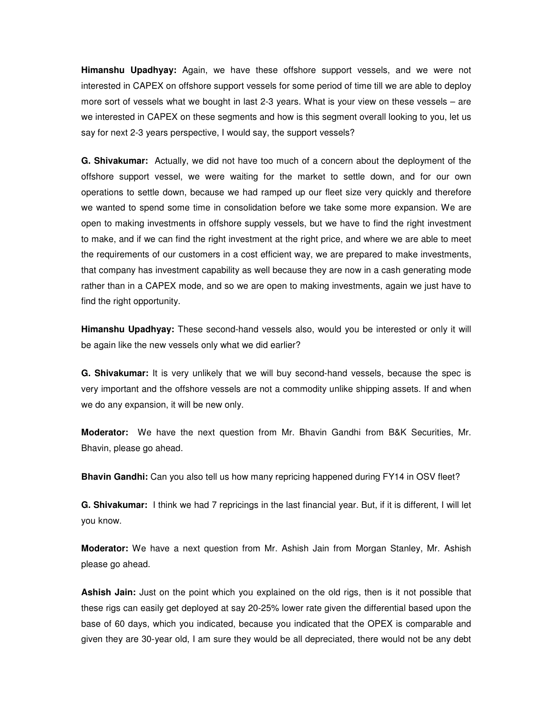**Himanshu Upadhyay:** Again, we have these offshore support vessels, and we were not interested in CAPEX on offshore support vessels for some period of time till we are able to deploy more sort of vessels what we bought in last 2-3 years. What is your view on these vessels – are we interested in CAPEX on these segments and how is this segment overall looking to you, let us say for next 2-3 years perspective, I would say, the support vessels?

**G. Shivakumar:** Actually, we did not have too much of a concern about the deployment of the offshore support vessel, we were waiting for the market to settle down, and for our own operations to settle down, because we had ramped up our fleet size very quickly and therefore we wanted to spend some time in consolidation before we take some more expansion. We are open to making investments in offshore supply vessels, but we have to find the right investment to make, and if we can find the right investment at the right price, and where we are able to meet the requirements of our customers in a cost efficient way, we are prepared to make investments, that company has investment capability as well because they are now in a cash generating mode rather than in a CAPEX mode, and so we are open to making investments, again we just have to find the right opportunity.

**Himanshu Upadhyay:** These second-hand vessels also, would you be interested or only it will be again like the new vessels only what we did earlier?

**G. Shivakumar:** It is very unlikely that we will buy second-hand vessels, because the spec is very important and the offshore vessels are not a commodity unlike shipping assets. If and when we do any expansion, it will be new only.

**Moderator:** We have the next question from Mr. Bhavin Gandhi from B&K Securities, Mr. Bhavin, please go ahead.

**Bhavin Gandhi:** Can you also tell us how many repricing happened during FY14 in OSV fleet?

**G. Shivakumar:** I think we had 7 repricings in the last financial year. But, if it is different, I will let you know.

**Moderator:** We have a next question from Mr. Ashish Jain from Morgan Stanley, Mr. Ashish please go ahead.

**Ashish Jain:** Just on the point which you explained on the old rigs, then is it not possible that these rigs can easily get deployed at say 20-25% lower rate given the differential based upon the base of 60 days, which you indicated, because you indicated that the OPEX is comparable and given they are 30-year old, I am sure they would be all depreciated, there would not be any debt